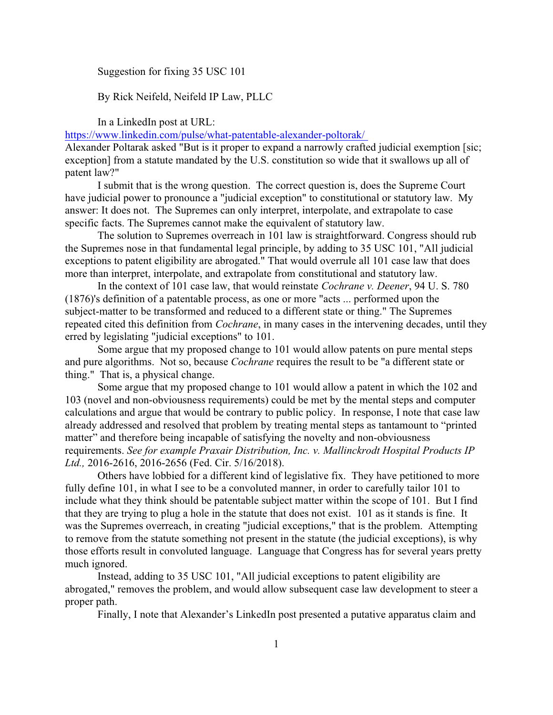## Suggestion for fixing 35 USC 101

## By Rick Neifeld, Neifeld IP Law, PLLC

In a LinkedIn post at URL:

[https://www.linkedin.com/pulse/what-patentable-alexander-poltorak/](https://www.linkedin.com/pulse/what-patentable-alexander-poltorak/%20) 

Alexander Poltarak asked "But is it proper to expand a narrowly crafted judicial exemption [sic; exception] from a statute mandated by the U.S. constitution so wide that it swallows up all of patent law?"

I submit that is the wrong question. The correct question is, does the Supreme Court have judicial power to pronounce a "judicial exception" to constitutional or statutory law. My answer: It does not. The Supremes can only interpret, interpolate, and extrapolate to case specific facts. The Supremes cannot make the equivalent of statutory law.

The solution to Supremes overreach in 101 law is straightforward. Congress should rub the Supremes nose in that fundamental legal principle, by adding to 35 USC 101, "All judicial exceptions to patent eligibility are abrogated." That would overrule all 101 case law that does more than interpret, interpolate, and extrapolate from constitutional and statutory law.

In the context of 101 case law, that would reinstate *Cochrane v. Deener*, 94 U. S. 780 (1876)'s definition of a patentable process, as one or more "acts ... performed upon the subject-matter to be transformed and reduced to a different state or thing." The Supremes repeated cited this definition from *Cochrane*, in many cases in the intervening decades, until they erred by legislating "judicial exceptions" to 101.

Some argue that my proposed change to 101 would allow patents on pure mental steps and pure algorithms. Not so, because *Cochrane* requires the result to be "a different state or thing." That is, a physical change.

Some argue that my proposed change to 101 would allow a patent in which the 102 and 103 (novel and non-obviousness requirements) could be met by the mental steps and computer calculations and argue that would be contrary to public policy. In response, I note that case law already addressed and resolved that problem by treating mental steps as tantamount to "printed matter" and therefore being incapable of satisfying the novelty and non-obviousness requirements. *See for example Praxair Distribution, Inc. v. Mallinckrodt Hospital Products IP Ltd.,* 2016-2616, 2016-2656 (Fed. Cir. 5/16/2018).

Others have lobbied for a different kind of legislative fix. They have petitioned to more fully define 101, in what I see to be a convoluted manner, in order to carefully tailor 101 to include what they think should be patentable subject matter within the scope of 101. But I find that they are trying to plug a hole in the statute that does not exist. 101 as it stands is fine. It was the Supremes overreach, in creating "judicial exceptions," that is the problem. Attempting to remove from the statute something not present in the statute (the judicial exceptions), is why those efforts result in convoluted language. Language that Congress has for several years pretty much ignored.

Instead, adding to 35 USC 101, "All judicial exceptions to patent eligibility are abrogated," removes the problem, and would allow subsequent case law development to steer a proper path.

Finally, I note that Alexander's LinkedIn post presented a putative apparatus claim and